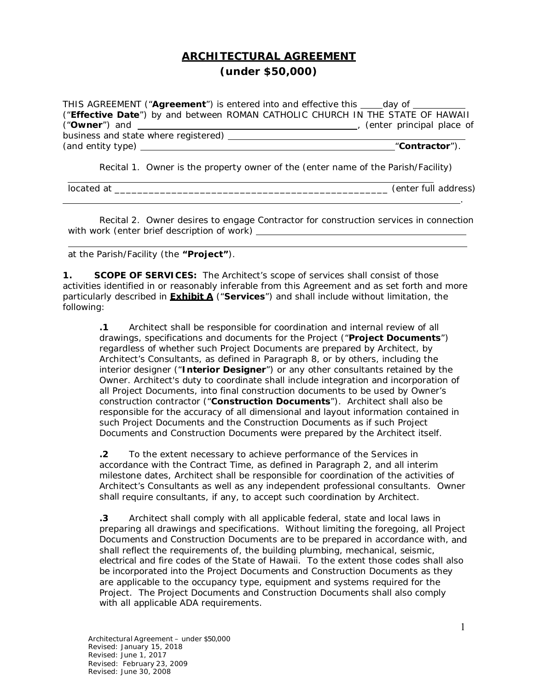## **ARCHITECTURAL AGREEMENT (under \$50,000)**

|                                      | THIS AGREEMENT ("Agreement") is entered into and effective this day of         |
|--------------------------------------|--------------------------------------------------------------------------------|
|                                      | ("Effective Date") by and between ROMAN CATHOLIC CHURCH IN THE STATE OF HAWAII |
|                                      | (enter principal place of                                                      |
| business and state where registered) |                                                                                |
| (and entity type)                    | "Contractor").                                                                 |
|                                      |                                                                                |

Recital 1. Owner is the property owner of the (enter name of the *Parish/Facility*)

located at *\_\_\_\_\_\_\_\_\_\_\_\_\_\_\_\_\_\_\_\_\_\_\_\_\_\_\_\_\_\_\_\_\_\_\_\_\_\_\_\_\_\_\_\_\_\_\_\_ (enter full address*)

Recital 2. Owner desires to engage Contractor for construction services in connection with work (enter brief description of work)

.

at the Parish/Facility (the **"Project"**).

**1. SCOPE OF SERVICES:** The Architect's scope of services shall consist of those activities identified in or reasonably inferable from this Agreement and as set forth and more particularly described in **Exhibit A** ("**Services**") and shall include without limitation, the following:

**.1** Architect shall be responsible for coordination and internal review of all drawings, specifications and documents for the Project ("**Project Documents**") regardless of whether such Project Documents are prepared by Architect, by Architect's Consultants, as defined in Paragraph 8, or by others, including the interior designer ("**Interior Designer**") or any other consultants retained by the Owner. Architect's duty to coordinate shall include integration and incorporation of all Project Documents, into final construction documents to be used by Owner's construction contractor ("**Construction Documents**"). Architect shall also be responsible for the accuracy of all dimensional and layout information contained in such Project Documents and the Construction Documents as if such Project Documents and Construction Documents were prepared by the Architect itself.

**.2** To the extent necessary to achieve performance of the Services in accordance with the Contract Time, as defined in Paragraph 2, and all interim milestone dates, Architect shall be responsible for coordination of the activities of Architect's Consultants as well as any independent professional consultants. Owner shall require consultants, if any, to accept such coordination by Architect.

**.3** Architect shall comply with all applicable federal, state and local laws in preparing all drawings and specifications. Without limiting the foregoing, all Project Documents and Construction Documents are to be prepared in accordance with, and shall reflect the requirements of, the building plumbing, mechanical, seismic, electrical and fire codes of the State of Hawaii. To the extent those codes shall also be incorporated into the Project Documents and Construction Documents as they are applicable to the occupancy type, equipment and systems required for the Project. The Project Documents and Construction Documents shall also comply with all applicable ADA requirements.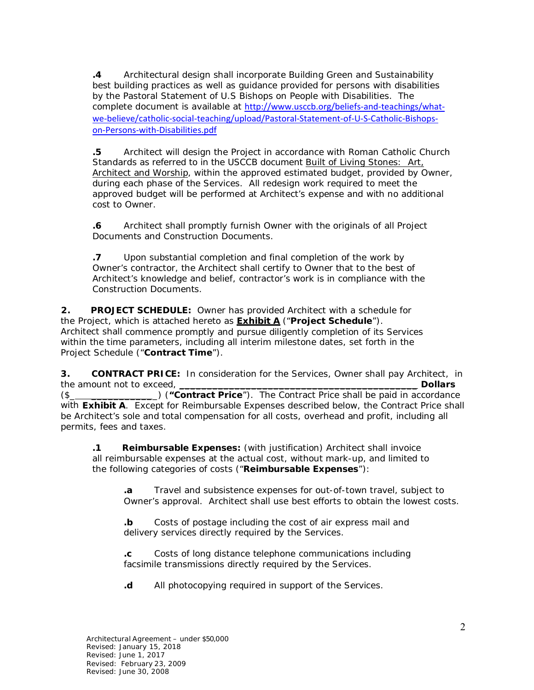**.4** Architectural design shall incorporate Building Green and Sustainability best building practices as well as guidance provided for persons with disabilities by the *Pastoral Statement of U.S Bishops on People with Disabilities.* The complete document is available at http://www.usccb.org/beliefs-and-teachings/whatwe-believe/catholic-social-teaching/upload/Pastoral-Statement-of-U-S-Catholic-Bishopson‐Persons‐with‐Disabilities.pdf

**.5** Architect will design the Project in accordance with Roman Catholic Church Standards as referred to in the USCCB document Built of Living Stones: Art, Architect and Worship, within the approved estimated budget, provided by Owner, during each phase of the Services. All redesign work required to meet the approved budget will be performed at Architect's expense and with no additional cost to Owner.

**.6** Architect shall promptly furnish Owner with the originals of all Project Documents and Construction Documents.

**.7** Upon substantial completion and final completion of the work by Owner's contractor, the Architect shall certify to Owner that to the best of Architect's knowledge and belief, contractor's work is in compliance with the Construction Documents.

**2. PROJECT SCHEDULE:** Owner has provided Architect with a schedule for the Project, which is attached hereto as **Exhibit A** ("**Project Schedule**"). Architect shall commence promptly and pursue diligently completion of its Services within the time parameters, including all interim milestone dates, set forth in the Project Schedule ("**Contract Time**").

**3. CONTRACT PRICE:** In consideration for the Services, Owner shall pay Architect, in the amount not to exceed, \_\_\_\_\_\_\_\_\_\_\_\_\_\_\_\_\_\_\_\_\_\_\_\_\_\_\_\_\_\_\_\_\_\_\_\_\_\_\_\_\_\_\_ **Dollars**  ("Contract Price"). The Contract Price shall be paid in accordance

with **Exhibit A**. Except for Reimbursable Expenses described below, the Contract Price shall be Architect's sole and total compensation for all costs, overhead and profit, including all permits, fees and taxes.

**.1 Reimbursable Expenses:** (with justification) Architect shall invoice all reimbursable expenses at the actual cost, without mark-up, and limited to the following categories of costs ("**Reimbursable Expenses**"):

**.a** Travel and subsistence expenses for out-of-town travel, subject to Owner's approval. Architect shall use best efforts to obtain the lowest costs.

**.b** Costs of postage including the cost of air express mail and delivery services directly required by the Services.

**.c** Costs of long distance telephone communications including facsimile transmissions directly required by the Services.

**.d** All photocopying required in support of the Services.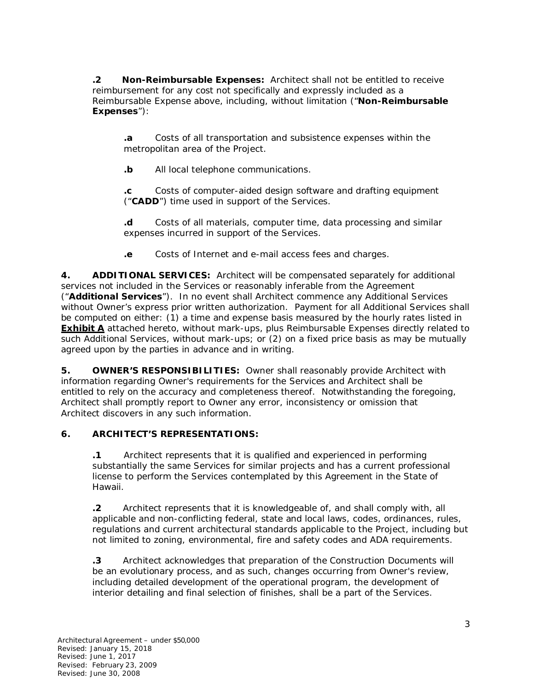**.2 Non-Reimbursable Expenses:** Architect shall not be entitled to receive reimbursement for any cost not specifically and expressly included as a Reimbursable Expense above, including, without limitation ("**Non-Reimbursable Expenses**"):

**.a** Costs of all transportation and subsistence expenses within the metropolitan area of the Project.

**.b** All local telephone communications.

**.c** Costs of computer-aided design software and drafting equipment ("**CADD**") time used in support of the Services.

**.d** Costs of all materials, computer time, data processing and similar expenses incurred in support of the Services.

**.e** Costs of Internet and e-mail access fees and charges.

**4. ADDITIONAL SERVICES:** Architect will be compensated separately for additional services not included in the Services or reasonably inferable from the Agreement ("**Additional Services**"). In no event shall Architect commence any Additional Services without Owner's express prior written authorization. Payment for all Additional Services shall be computed on either: (1) a time and expense basis measured by the hourly rates listed in **Exhibit A** attached hereto, without mark-ups, plus Reimbursable Expenses directly related to such Additional Services, without mark-ups; or (2) on a fixed price basis as may be mutually agreed upon by the parties in advance and in writing.

**5. OWNER'S RESPONSIBILITIES:** Owner shall reasonably provide Architect with information regarding Owner's requirements for the Services and Architect shall be entitled to rely on the accuracy and completeness thereof. Notwithstanding the foregoing, Architect shall promptly report to Owner any error, inconsistency or omission that Architect discovers in any such information.

#### **6. ARCHITECT'S REPRESENTATIONS:**

**.1** Architect represents that it is qualified and experienced in performing substantially the same Services for similar projects and has a current professional license to perform the Services contemplated by this Agreement in the State of Hawaii.

**.2** Architect represents that it is knowledgeable of, and shall comply with, all applicable and non-conflicting federal, state and local laws, codes, ordinances, rules, regulations and current architectural standards applicable to the Project, including but not limited to zoning, environmental, fire and safety codes and ADA requirements.

**.3** Architect acknowledges that preparation of the Construction Documents will be an evolutionary process, and as such, changes occurring from Owner's review, including detailed development of the operational program, the development of interior detailing and final selection of finishes, shall be a part of the Services.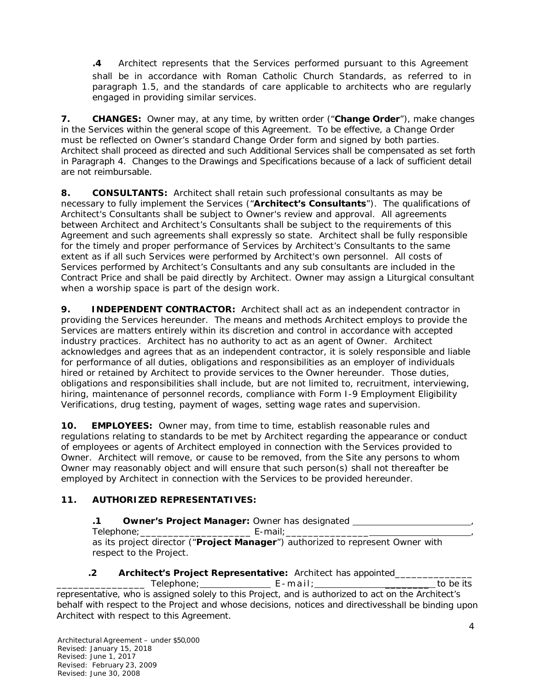**.4** Architect represents that the Services performed pursuant to this Agreement shall be in accordance with Roman Catholic Church Standards, as referred to in paragraph 1.5, and the standards of care applicable to architects who are regularly engaged in providing similar services.

**7. CHANGES:** Owner may, at any time, by written order ("**Change Order**"), make changes in the Services within the general scope of this Agreement. To be effective, a Change Order must be reflected on Owner's standard Change Order form and signed by both parties. Architect shall proceed as directed and such Additional Services shall be compensated as set forth in Paragraph 4. Changes to the Drawings and Specifications because of a lack of sufficient detail are not reimbursable.

**8. CONSULTANTS:** Architect shall retain such professional consultants as may be necessary to fully implement the Services ("**Architect's Consultants**"). The qualifications of Architect's Consultants shall be subject to Owner's review and approval. All agreements between Architect and Architect's Consultants shall be subject to the requirements of this Agreement and such agreements shall expressly so state. Architect shall be fully responsible for the timely and proper performance of Services by Architect's Consultants to the same extent as if all such Services were performed by Architect's own personnel. All costs of Services performed by Architect's Consultants and any sub consultants are included in the Contract Price and shall be paid directly by Architect. Owner may assign a Liturgical consultant when a worship space is part of the design work.

**9. INDEPENDENT CONTRACTOR:** Architect shall act as an independent contractor in providing the Services hereunder. The means and methods Architect employs to provide the Services are matters entirely within its discretion and control in accordance with accepted industry practices. Architect has no authority to act as an agent of Owner. Architect acknowledges and agrees that as an independent contractor, it is solely responsible and liable for performance of all duties, obligations and responsibilities as an employer of individuals hired or retained by Architect to provide services to the Owner hereunder. Those duties, obligations and responsibilities shall include, but are not limited to, recruitment, interviewing, hiring, maintenance of personnel records, compliance with Form I-9 Employment Eligibility Verifications, drug testing, payment of wages, setting wage rates and supervision.

**10. EMPLOYEES:** Owner may, from time to time, establish reasonable rules and regulations relating to standards to be met by Architect regarding the appearance or conduct of employees or agents of Architect employed in connection with the Services provided to Owner. Architect will remove, or cause to be removed, from the Site any persons to whom Owner may reasonably object and will ensure that such person(s) shall not thereafter be employed by Architect in connection with the Services to be provided hereunder.

## **11. AUTHORIZED REPRESENTATIVES:**

## **.1 Owner's Project Manager:** Owner has designated ,

Telephone; example and the E-mail;

as its project director ("**Project Manager**") authorized to represent Owner with respect to the Project.

# **.2 Architect's Project Representative:** Architect has appointed\_\_\_\_\_\_\_\_\_\_\_\_\_\_

\_\_Telephone;\_\_\_\_\_\_\_\_\_\_\_\_\_\_\_\_\_\_\_\_\_E - mail;\_\_\_\_\_\_\_\_\_\_\_\_\_\_\_\_\_\_\_\_\_\_\_\_\_\_to be its representative, who is assigned solely to this Project, and is authorized to act on the Architect's behalf with respect to the Project and whose decisions, notices and directivesshall be binding upon Architect with respect to this Agreement.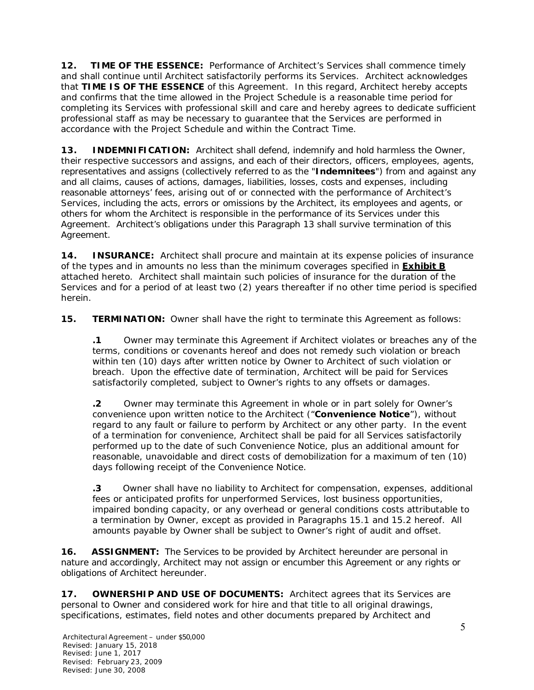**12. TIME OF THE ESSENCE:** Performance of Architect's Services shall commence timely and shall continue until Architect satisfactorily performs its Services. Architect acknowledges that **TIME IS OF THE ESSENCE** of this Agreement. In this regard, Architect hereby accepts and confirms that the time allowed in the Project Schedule is a reasonable time period for completing its Services with professional skill and care and hereby agrees to dedicate sufficient professional staff as may be necessary to guarantee that the Services are performed in accordance with the Project Schedule and within the Contract Time.

**13. INDEMNIFICATION:** Architect shall defend, indemnify and hold harmless the Owner, their respective successors and assigns, and each of their directors, officers, employees, agents, representatives and assigns (collectively referred to as the "**Indemnitees**") from and against any and all claims, causes of actions, damages, liabilities, losses, costs and expenses, including reasonable attorneys' fees, arising out of or connected with the performance of Architect's Services, including the acts, errors or omissions by the Architect, its employees and agents, or others for whom the Architect is responsible in the performance of its Services under this Agreement. Architect's obligations under this Paragraph 13 shall survive termination of this Agreement.

**14. INSURANCE:** Architect shall procure and maintain at its expense policies of insurance of the types and in amounts no less than the minimum coverages specified in **Exhibit B**  attached hereto. Architect shall maintain such policies of insurance for the duration of the Services and for a period of at least two (2) years thereafter if no other time period is specified herein.

**15. TERMINATION:** Owner shall have the right to terminate this Agreement as follows:

**.1** Owner may terminate this Agreement if Architect violates or breaches any of the terms, conditions or covenants hereof and does not remedy such violation or breach within ten (10) days after written notice by Owner to Architect of such violation or breach. Upon the effective date of termination, Architect will be paid for Services satisfactorily completed, subject to Owner's rights to any offsets or damages.

**.2** Owner may terminate this Agreement in whole or in part solely for Owner's convenience upon written notice to the Architect ("**Convenience Notice**"), without regard to any fault or failure to perform by Architect or any other party. In the event of a termination for convenience, Architect shall be paid for all Services satisfactorily performed up to the date of such Convenience Notice, plus an additional amount for reasonable, unavoidable and direct costs of demobilization for a maximum of ten (10) days following receipt of the Convenience Notice.

**.3** Owner shall have no liability to Architect for compensation, expenses, additional fees or anticipated profits for unperformed Services, lost business opportunities, impaired bonding capacity, or any overhead or general conditions costs attributable to a termination by Owner, except as provided in Paragraphs 15.1 and 15.2 hereof. All amounts payable by Owner shall be subject to Owner's right of audit and offset.

**16. ASSIGNMENT:** The Services to be provided by Architect hereunder are personal in nature and accordingly, Architect may not assign or encumber this Agreement or any rights or obligations of Architect hereunder.

**17. OWNERSHIP AND USE OF DOCUMENTS:** Architect agrees that its Services are personal to Owner and considered work for hire and that title to all original drawings, specifications, estimates, field notes and other documents prepared by Architect and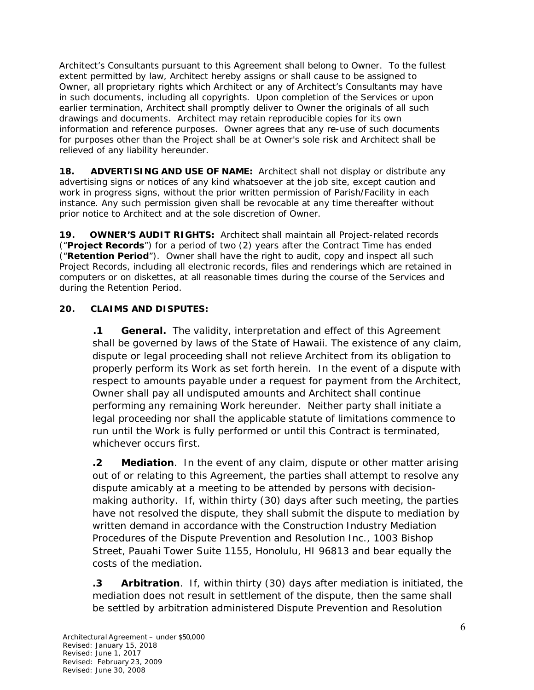Architect's Consultants pursuant to this Agreement shall belong to Owner. To the fullest extent permitted by law, Architect hereby assigns or shall cause to be assigned to Owner, all proprietary rights which Architect or any of Architect's Consultants may have in such documents, including all copyrights. Upon completion of the Services or upon earlier termination, Architect shall promptly deliver to Owner the originals of all such drawings and documents. Architect may retain reproducible copies for its own information and reference purposes. Owner agrees that any re-use of such documents for purposes other than the Project shall be at Owner's sole risk and Architect shall be relieved of any liability hereunder.

**18. ADVERTISING AND USE OF NAME:** Architect shall not display or distribute any advertising signs or notices of any kind whatsoever at the job site, except caution and work in progress signs, without the prior written permission of Parish/Facility in each instance. Any such permission given shall be revocable at any time thereafter without prior notice to Architect and at the sole discretion of Owner.

**19. OWNER'S AUDIT RIGHTS:** Architect shall maintain all Project-related records ("**Project Records**") for a period of two (2) years after the Contract Time has ended ("**Retention Period**"). Owner shall have the right to audit, copy and inspect all such Project Records, including all electronic records, files and renderings which are retained in computers or on diskettes, at all reasonable times during the course of the Services and during the Retention Period.

## **20. CLAIMS AND DISPUTES:**

**.1 General.** The validity, interpretation and effect of this Agreement shall be governed by laws of the State of Hawaii. The existence of any claim, dispute or legal proceeding shall not relieve Architect from its obligation to properly perform its Work as set forth herein. In the event of a dispute with respect to amounts payable under a request for payment from the Architect, Owner shall pay all undisputed amounts and Architect shall continue performing any remaining Work hereunder. Neither party shall initiate a legal proceeding nor shall the applicable statute of limitations commence to run until the Work is fully performed or until this Contract is terminated, whichever occurs first.

**.2 Mediation**. In the event of any claim, dispute or other matter arising out of or relating to this Agreement, the parties shall attempt to resolve any dispute amicably at a meeting to be attended by persons with decisionmaking authority. If, within thirty (30) days after such meeting, the parties have not resolved the dispute, they shall submit the dispute to mediation by written demand in accordance with the Construction Industry Mediation Procedures of the Dispute Prevention and Resolution Inc., 1003 Bishop Street, Pauahi Tower Suite 1155, Honolulu, HI 96813 and bear equally the costs of the mediation.

**.3 Arbitration**. If, within thirty (30) days after mediation is initiated, the mediation does not result in settlement of the dispute, then the same shall be settled by arbitration administered Dispute Prevention and Resolution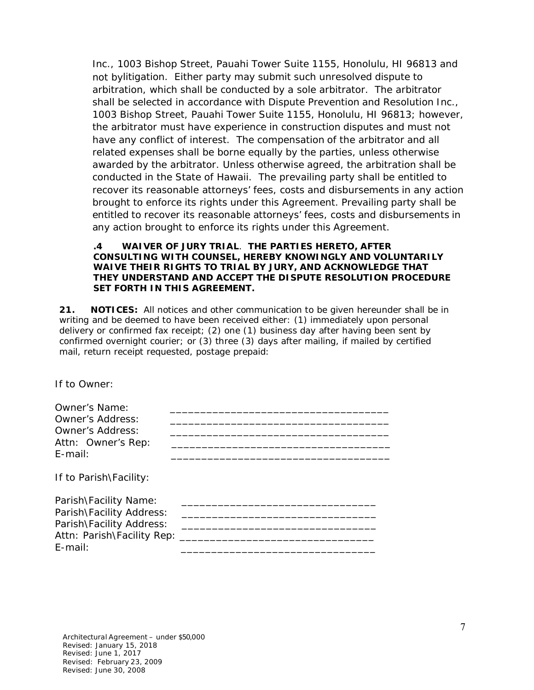Inc., 1003 Bishop Street, Pauahi Tower Suite 1155, Honolulu, HI 96813 and not bylitigation. Either party may submit such unresolved dispute to arbitration, which shall be conducted by a sole arbitrator. The arbitrator shall be selected in accordance with Dispute Prevention and Resolution Inc., 1003 Bishop Street, Pauahi Tower Suite 1155, Honolulu, HI 96813; however, the arbitrator must have experience in construction disputes and must not have any conflict of interest. The compensation of the arbitrator and all related expenses shall be borne equally by the parties, unless otherwise awarded by the arbitrator. Unless otherwise agreed, the arbitration shall be conducted in the State of Hawaii. The prevailing party shall be entitled to recover its reasonable attorneys' fees, costs and disbursements in any action brought to enforce its rights under this Agreement. Prevailing party shall be entitled to recover its reasonable attorneys' fees, costs and disbursements in any action brought to enforce its rights under this Agreement.

#### **.4 WAIVER OF JURY TRIAL**. **THE PARTIES HERETO, AFTER CONSULTING WITH COUNSEL, HEREBY KNOWINGLY AND VOLUNTARILY WAIVE THEIR RIGHTS TO TRIAL BY JURY, AND ACKNOWLEDGE THAT THEY UNDERSTAND AND ACCEPT THE DISPUTE RESOLUTION PROCEDURE SET FORTH IN THIS AGREEMENT.**

**21. NOTICES:** All notices and other communication to be given hereunder shall be in writing and be deemed to have been received either: (1) immediately upon personal delivery or confirmed fax receipt; (2) one (1) business day after having been sent by confirmed overnight courier; or (3) three (3) days after mailing, if mailed by certified mail, return receipt requested, postage prepaid:

If to Owner:

| <b>Owner's Name:</b><br><b>Owner's Address:</b><br><b>Owner's Address:</b><br>Attn: Owner's Rep:<br>$E$ -mail:                |  |
|-------------------------------------------------------------------------------------------------------------------------------|--|
| If to Parish\Facility:                                                                                                        |  |
| Parish\Facility Name:<br>Parish\Facility Address:<br>Parish\Facility Address:<br>Attn: Parish\Facility Rep: ______<br>E-mail: |  |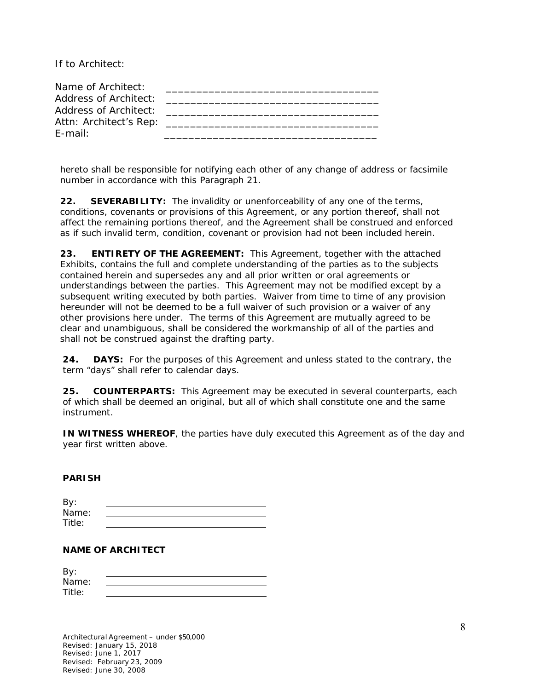If to Architect:

| Name of Architect:     |  |
|------------------------|--|
| Address of Architect:  |  |
| Address of Architect:  |  |
| Attn: Architect's Rep: |  |
| $F$ -mail:             |  |

hereto shall be responsible for notifying each other of any change of address or facsimile number in accordance with this Paragraph 21.

**22. SEVERABILITY:** The invalidity or unenforceability of any one of the terms, conditions, covenants or provisions of this Agreement, or any portion thereof, shall not affect the remaining portions thereof, and the Agreement shall be construed and enforced as if such invalid term, condition, covenant or provision had not been included herein.

**23. ENTIRETY OF THE AGREEMENT:** This Agreement, together with the attached Exhibits, contains the full and complete understanding of the parties as to the subjects contained herein and supersedes any and all prior written or oral agreements or understandings between the parties. This Agreement may not be modified except by a subsequent writing executed by both parties. Waiver from time to time of any provision hereunder will not be deemed to be a full waiver of such provision or a waiver of any other provisions here under. The terms of this Agreement are mutually agreed to be clear and unambiguous, shall be considered the workmanship of all of the parties and shall not be construed against the drafting party.

**24. DAYS:** For the purposes of this Agreement and unless stated to the contrary, the term "days" shall refer to calendar days.

**25. COUNTERPARTS:** This Agreement may be executed in several counterparts, each of which shall be deemed an original, but all of which shall constitute one and the same instrument.

**IN WITNESS WHEREOF**, the parties have duly executed this Agreement as of the day and year first written above.

#### **PARISH**

| By:    |  |  |
|--------|--|--|
| Name:  |  |  |
| Title: |  |  |

#### **NAME OF ARCHITECT**

| By:    |  |
|--------|--|
| Name:  |  |
| Title: |  |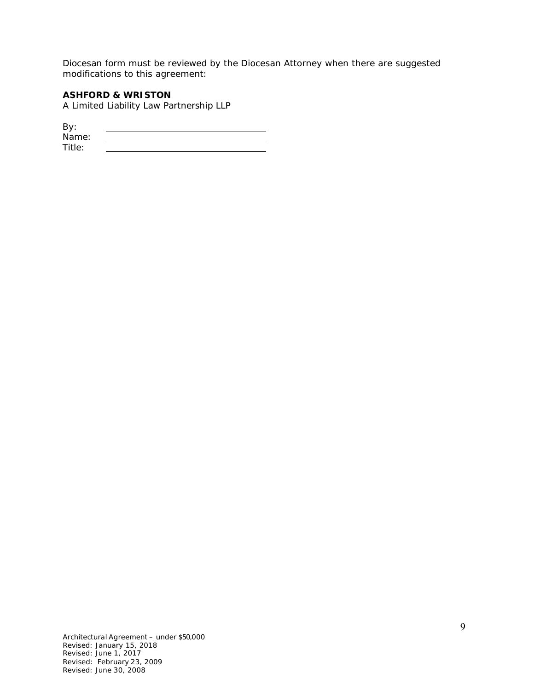Diocesan form must be reviewed by the Diocesan Attorney when there are suggested modifications to this agreement:

#### **ASHFORD & WRISTON**

A Limited Liability Law Partnership LLP

By: Name: Name: Title: <u>\_\_\_\_\_\_\_\_\_\_\_\_\_\_\_\_\_\_\_\_\_\_\_\_\_\_\_\_\_\_\_\_\_</u>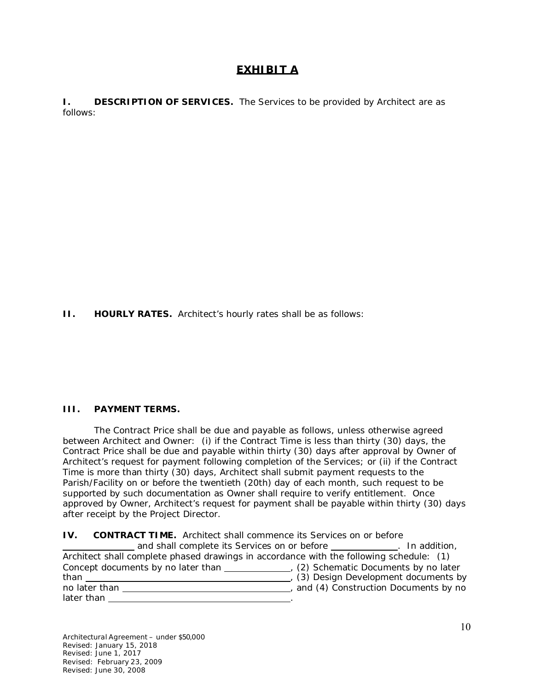## **EXHIBIT A**

**I.** DESCRIPTION OF SERVICES. The Services to be provided by Architect are as follows:

**II. HOURLY RATES.** Architect's hourly rates shall be as follows:

#### **III. PAYMENT TERMS.**

The Contract Price shall be due and payable as follows, unless otherwise agreed between Architect and Owner: (i) if the Contract Time is less than thirty (30) days, the Contract Price shall be due and payable within thirty (30) days after approval by Owner of Architect's request for payment following completion of the Services; or (ii) if the Contract Time is more than thirty (30) days, Architect shall submit payment requests to the Parish/Facility on or before the twentieth (20th) day of each month, such request to be supported by such documentation as Owner shall require to verify entitlement. Once approved by Owner, Architect's request for payment shall be payable within thirty (30) days after receipt by the Project Director.

| <b>IV.</b> CONTRACT TIME. Architect shall commence its Services on or before            |                                      |
|-----------------------------------------------------------------------------------------|--------------------------------------|
| and shall complete its Services on or before ____________.                              | In addition,                         |
| Architect shall complete phased drawings in accordance with the following schedule: (1) |                                      |
|                                                                                         |                                      |
| than                                                                                    | (3) Design Development documents by  |
| no later than                                                                           | and (4) Construction Documents by no |
| later than                                                                              |                                      |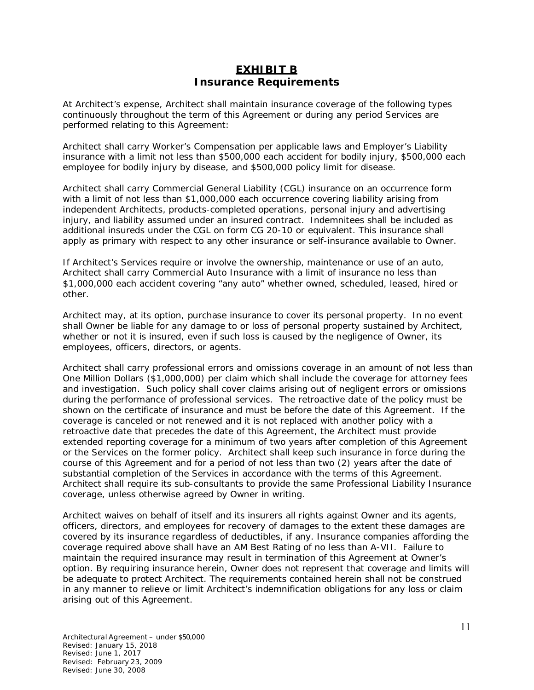## **EXHIBIT B Insurance Requirements**

At Architect's expense, Architect shall maintain insurance coverage of the following types continuously throughout the term of this Agreement or during any period Services are performed relating to this Agreement:

Architect shall carry Worker's Compensation per applicable laws and Employer's Liability insurance with a limit not less than \$500,000 each accident for bodily injury, \$500,000 each employee for bodily injury by disease, and \$500,000 policy limit for disease.

Architect shall carry Commercial General Liability (CGL) insurance on an occurrence form with a limit of not less than \$1,000,000 each occurrence covering liability arising from independent Architects, products-completed operations, personal injury and advertising injury, and liability assumed under an insured contract. Indemnitees shall be included as additional insureds under the CGL on form CG 20-10 or equivalent. This insurance shall apply as primary with respect to any other insurance or self-insurance available to Owner.

If Architect's Services require or involve the ownership, maintenance or use of an auto, Architect shall carry Commercial Auto Insurance with a limit of insurance no less than \$1,000,000 each accident covering "any auto" whether owned, scheduled, leased, hired or other.

Architect may, at its option, purchase insurance to cover its personal property. In no event shall Owner be liable for any damage to or loss of personal property sustained by Architect, whether or not it is insured, even if such loss is caused by the negligence of Owner, its employees, officers, directors, or agents.

Architect shall carry professional errors and omissions coverage in an amount of not less than One Million Dollars (\$1,000,000) per claim which shall include the coverage for attorney fees and investigation. Such policy shall cover claims arising out of negligent errors or omissions during the performance of professional services. The retroactive date of the policy must be shown on the certificate of insurance and must be before the date of this Agreement. If the coverage is canceled or not renewed and it is not replaced with another policy with a retroactive date that precedes the date of this Agreement, the Architect must provide extended reporting coverage for a minimum of two years after completion of this Agreement or the Services on the former policy. Architect shall keep such insurance in force during the course of this Agreement and for a period of not less than two (2) years after the date of substantial completion of the Services in accordance with the terms of this Agreement. Architect shall require its sub-consultants to provide the same Professional Liability Insurance coverage, unless otherwise agreed by Owner in writing.

Architect waives on behalf of itself and its insurers all rights against Owner and its agents, officers, directors, and employees for recovery of damages to the extent these damages are covered by its insurance regardless of deductibles, if any. Insurance companies affording the coverage required above shall have an AM Best Rating of no less than A-VII. Failure to maintain the required insurance may result in termination of this Agreement at Owner's option. By requiring insurance herein, Owner does not represent that coverage and limits will be adequate to protect Architect. The requirements contained herein shall not be construed in any manner to relieve or limit Architect's indemnification obligations for any loss or claim arising out of this Agreement.